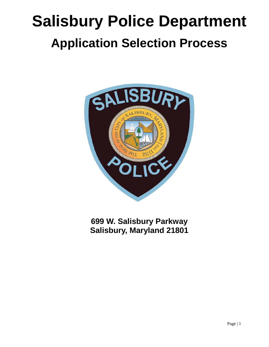# **Salisbury Police Department Application Selection Process**



**699 W. Salisbury Parkway Salisbury, Maryland 21801**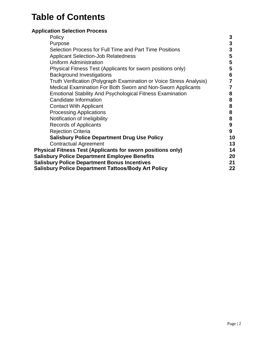# **Table of Contents**

# **Application Selection Process**

| Policy                                                              | 3  |
|---------------------------------------------------------------------|----|
| Purpose                                                             | 3  |
| Selection Process for Full Time and Part Time Positions             | 3  |
| <b>Applicant Selection-Job Relatedness</b>                          | 5  |
| <b>Uniform Administration</b>                                       | 5  |
| Physical Fitness Test (Applicants for sworn positions only)         | 5  |
| <b>Background Investigations</b>                                    | 6  |
| Truth Verification (Polygraph Examination or Voice Stress Analysis) |    |
| Medical Examination For Both Sworn and Non-Sworn Applicants         |    |
| <b>Emotional Stability And Psychological Fitness Examination</b>    | 8  |
| Candidate Information                                               | 8  |
| <b>Contact With Applicant</b>                                       | 8  |
| <b>Processing Applications</b>                                      | 8  |
| Notification of Ineligibility                                       | 8  |
| <b>Records of Applicants</b>                                        | 9  |
| <b>Rejection Criteria</b>                                           | 9  |
| <b>Salisbury Police Department Drug Use Policy</b>                  | 10 |
| <b>Contractual Agreement</b>                                        | 13 |
| <b>Physical Fitness Test (Applicants for sworn positions only)</b>  | 14 |
| <b>Salisbury Police Department Employee Benefits</b>                | 20 |
| <b>Salisbury Police Department Bonus Incentives</b>                 | 21 |
| Salisbury Police Department Tattoos/Body Art Policy                 | 22 |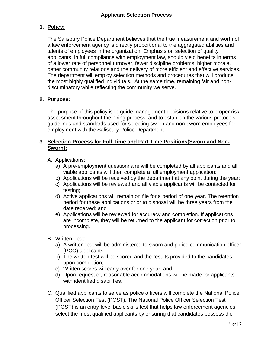# **1. Policy:**

The Salisbury Police Department believes that the true measurement and worth of a law enforcement agency is directly proportional to the aggregated abilities and talents of employees in the organization. Emphasis on selection of quality applicants, in full compliance with employment law, should yield benefits in terms of a lower rate of personnel turnover, fewer discipline problems, higher morale, better community relations and the delivery of more efficient and effective services. The department will employ selection methods and procedures that will produce the most highly qualified individuals. At the same time, remaining fair and nondiscriminatory while reflecting the community we serve.

# **2. Purpose:**

The purpose of this policy is to guide management decisions relative to proper risk assessment throughout the hiring process, and to establish the various protocols, guidelines and standards used for selecting sworn and non-sworn employees for employment with the Salisbury Police Department.

# **3. Selection Process for Full Time and Part Time Positions(Sworn and Non-Sworn):**

- A. Applications:
	- a) A pre-employment questionnaire will be completed by all applicants and all viable applicants will then complete a full employment application;
	- b) Applications will be received by the department at any point during the year;
	- c) Applications will be reviewed and all viable applicants will be contacted for testing;
	- d) Active applications will remain on file for a period of one year. The retention period for these applications prior to disposal will be three years from the date received; and
	- e) Applications will be reviewed for accuracy and completion. If applications are incomplete, they will be returned to the applicant for correction prior to processing.
- B. Written Test:
	- a) A written test will be administered to sworn and police communication officer (PCO) applicants;
	- b) The written test will be scored and the results provided to the candidates upon completion;
	- c) Written scores will carry over for one year; and
	- d) Upon request of, reasonable accommodations will be made for applicants with identified disabilities.
- C. Qualified applicants to serve as police officers will complete the National Police Officer Selection Test (POST). The National Police Officer Selection Test (POST) is an entry-level basic skills test that helps law enforcement agencies select the most qualified applicants by ensuring that candidates possess the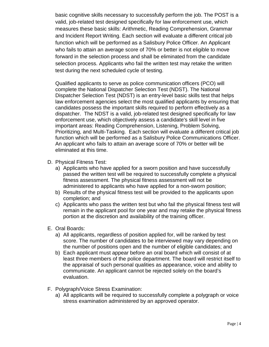basic cognitive skills necessary to successfully perform the job. The POST is a valid, job-related test designed specifically for law enforcement use, which measures these basic skills: Arithmetic, Reading Comprehension, Grammar and Incident Report Writing. Each section will evaluate a different critical job function which will be performed as a Salisbury Police Officer. An Applicant who fails to attain an average score of 70% or better is not eligible to move forward in the selection process and shall be eliminated from the candidate selection process. Applicants who fail the written test may retake the written test during the next scheduled cycle of testing.

Qualified applicants to serve as police communication officers (PCO) will complete the National Dispatcher Selection Test (NDST). The National Dispatcher Selection Test (NDST) is an entry-level basic skills test that helps law enforcement agencies select the most qualified applicants by ensuring that candidates possess the important skills required to perform effectively as a dispatcher. The NDST is a valid, job-related test designed specifically for law enforcement use, which objectively assess a candidate's skill level in five important areas: Reading Comprehension, Listening, Problem Solving, Prioritizing, and Multi-Tasking. Each section will evaluate a different critical job function which will be performed as a Salisbury Police Communications Officer. An applicant who fails to attain an average score of 70% or better will be eliminated at this time.

- D. Physical Fitness Test:
	- a) Applicants who have applied for a sworn position and have successfully passed the written test will be required to successfully complete a physical fitness assessment. The physical fitness assessment will not be administered to applicants who have applied for a non-sworn position;
	- b) Results of the physical fitness test will be provided to the applicants upon completion; and
	- c) Applicants who pass the written test but who fail the physical fitness test will remain in the applicant pool for one year and may retake the physical fitness portion at the discretion and availability of the training officer.
- E. Oral Boards:
	- a) All applicants, regardless of position applied for, will be ranked by test score. The number of candidates to be interviewed may vary depending on the number of positions open and the number of eligible candidates; and
	- b) Each applicant must appear before an oral board which will consist of at least three members of the police department. The board will restrict itself to the appraisal of such personal qualities as appearance, voice and ability to communicate. An applicant cannot be rejected solely on the board's evaluation.
- F. Polygraph/Voice Stress Examination:
	- a) All applicants will be required to successfully complete a polygraph or voice stress examination administered by an approved operator.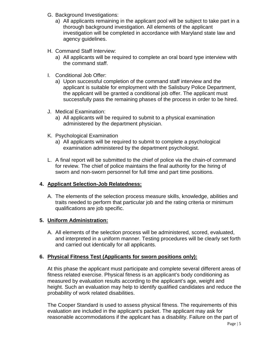- G. Background Investigations:
	- a) All applicants remaining in the applicant pool will be subject to take part in a thorough background investigation. All elements of the applicant investigation will be completed in accordance with Maryland state law and agency guidelines.
- H. Command Staff Interview:
	- a) All applicants will be required to complete an oral board type interview with the command staff.
- I. Conditional Job Offer:
	- a) Upon successful completion of the command staff interview and the applicant is suitable for employment with the Salisbury Police Department, the applicant will be granted a conditional job offer. The applicant must successfully pass the remaining phases of the process in order to be hired.
- J. Medical Examination:
	- a) All applicants will be required to submit to a physical examination administered by the department physician.
- K. Psychological Examination
	- a) All applicants will be required to submit to complete a psychological examination administered by the department psychologist.
- L. A final report will be submitted to the chief of police via the chain-of command for review. The chief of police maintains the final authority for the hiring of sworn and non-sworn personnel for full time and part time positions.

# **4. Applicant Selection-Job Relatedness:**

A. The elements of the selection process measure skills, knowledge, abilities and traits needed to perform that particular job and the rating criteria or minimum qualifications are job specific.

# **5. Uniform Administration:**

A. All elements of the selection process will be administered, scored, evaluated, and interpreted in a uniform manner. Testing procedures will be clearly set forth and carried out identically for all applicants.

# **6. Physical Fitness Test (Applicants for sworn positions only):**

At this phase the applicant must participate and complete several different areas of fitness related exercise. Physical fitness is an applicant's body conditioning as measured by evaluation results according to the applicant's age, weight and height. Such an evaluation may help to identify qualified candidates and reduce the probability of work related disabilities.

The Cooper Standard is used to assess physical fitness. The requirements of this evaluation are included in the applicant's packet. The applicant may ask for reasonable accommodations if the applicant has a disability. Failure on the part of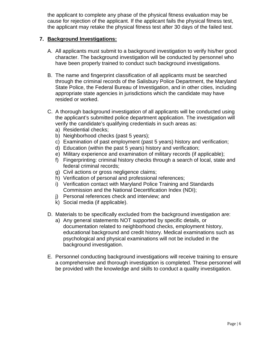the applicant to complete any phase of the physical fitness evaluation may be cause for rejection of the applicant. If the applicant fails the physical fitness test, the applicant may retake the physical fitness test after 30 days of the failed test.

## **7. Background Investigations:**

- A. All applicants must submit to a background investigation to verify his/her good character. The background investigation will be conducted by personnel who have been properly trained to conduct such background investigations.
- B. The name and fingerprint classification of all applicants must be searched through the criminal records of the Salisbury Police Department, the Maryland State Police, the Federal Bureau of Investigation, and in other cities, including appropriate state agencies in jurisdictions which the candidate may have resided or worked.
- C. A thorough background investigation of all applicants will be conducted using the applicant's submitted police department application. The investigation will verify the candidate's qualifying credentials in such areas as:
	- a) Residential checks;
	- b) Neighborhood checks (past 5 years);
	- c) Examination of past employment (past 5 years) history and verification;
	- d) Education (within the past 5 years) history and verification;
	- e) Military experience and examination of military records (if applicable);
	- f) Fingerprinting: criminal history checks through a search of local, state and federal criminal records;
	- g) Civil actions or gross negligence claims;
	- h) Verification of personal and professional references;
	- i) Verification contact with Maryland Police Training and Standards Commission and the National Decertification Index (NDI);
	- j) Personal references check and interview; and
	- k) Social media (if applicable).
- D. Materials to be specifically excluded from the background investigation are:
	- a) Any general statements NOT supported by specific details, or documentation related to neighborhood checks, employment history, educational background and credit history. Medical examinations such as psychological and physical examinations will not be included in the background investigation.
- E. Personnel conducting background investigations will receive training to ensure a comprehensive and thorough investigation is completed. These personnel will be provided with the knowledge and skills to conduct a quality investigation.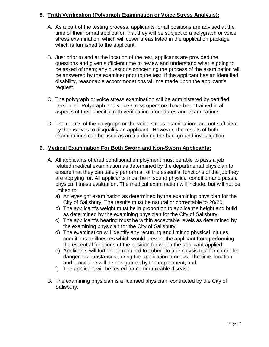# **8. Truth Verification (Polygraph Examination or Voice Stress Analysis):**

- A. As a part of the testing process, applicants for all positions are advised at the time of their formal application that they will be subject to a polygraph or voice stress examination, which will cover areas listed in the application package which is furnished to the applicant.
- B. Just prior to and at the location of the test, applicants are provided the questions and given sufficient time to review and understand what is going to be asked of them; any questions concerning the process of the examination will be answered by the examiner prior to the test. If the applicant has an identified disability, reasonable accommodations will me made upon the applicant's request.
- C. The polygraph or voice stress examination will be administered by certified personnel. Polygraph and voice stress operators have been trained in all aspects of their specific truth verification procedures and examinations.
- D. The results of the polygraph or the voice stress examinations are not sufficient by themselves to disqualify an applicant. However, the results of both examinations can be used as an aid during the background investigation.

# **9. Medical Examination For Both Sworn and Non-Sworn Applicants:**

- A. All applicants offered conditional employment must be able to pass a job related medical examination as determined by the departmental physician to ensure that they can safely perform all of the essential functions of the job they are applying for. All applicants must be in sound physical condition and pass a physical fitness evaluation. The medical examination will include, but will not be limited to:
	- a) An eyesight examination as determined by the examining physician for the City of Salisbury. The results must be natural or correctable to 20/20;
	- b) The applicant's weight must be in proportion to applicant's height and build as determined by the examining physician for the City of Salisbury;
	- c) The applicant's hearing must be within acceptable levels as determined by the examining physician for the City of Salisbury;
	- d) The examination will identify any recurring and limiting physical injuries, conditions or illnesses which would prevent the applicant from performing the essential functions of the position for which the applicant applied;
	- e) Applicants will further be required to submit to a urinalysis test for controlled dangerous substances during the application process. The time, location, and procedure will be designated by the department; and
	- f) The applicant will be tested for communicable disease.
- B. The examining physician is a licensed physician, contracted by the City of Salisbury.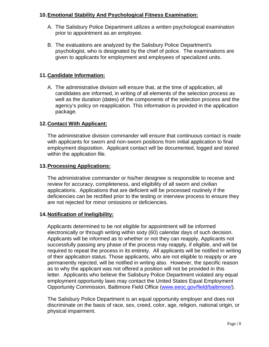## **10.Emotional Stability And Psychological Fitness Examination:**

- A. The Salisbury Police Department utilizes a written psychological examination prior to appointment as an employee.
- B. The evaluations are analyzed by the Salisbury Police Department's psychologist, who is designated by the chief of police. The examinations are given to applicants for employment and employees of specialized units.

# **11.Candidate Information:**

A. The administrative division will ensure that, at the time of application, all candidates are informed, in writing of all elements of the selection process as well as the duration (dates) of the components of the selection process and the agency's policy on reapplication. This information is provided in the application package.

# **12.Contact With Applicant:**

The administrative division commander will ensure that continuous contact is made with applicants for sworn and non-sworn positions from initial application to final employment disposition. Applicant contact will be documented, logged and stored within the application file.

# **13.Processing Applications:**

The administrative commander or his/her designee is responsible to receive and review for accuracy, completeness, and eligibility of all sworn and civilian applications. Applications that are deficient will be processed routinely if the deficiencies can be rectified prior to the testing or interview process to ensure they are not rejected for minor omissions or deficiencies.

#### **14.Notification of Ineligibility:**

Applicants determined to be not eligible for appointment will be informed electronically or through writing within sixty (60) calendar days of such decision. Applicants will be informed as to whether or not they can reapply, Applicants not successfully passing any phase of the process may reapply, if eligible, and will be required to repeat the process in its entirety. All applicants will be notified in writing of their application status. Those applicants, who are not eligible to reapply or are permanently rejected, will be notified in writing also. However, the specific reason as to why the applicant was not offered a position will not be provided in this letter. Applicants who believe the Salisbury Police Department violated any equal employment opportunity laws may contact the United States Equal Employment Opportunity Commission, Baltimore Field Office [\(www.eeoc.gov/field/baltimore/\)](file://192.168.20.240/FileServer/CommAffairs/Training-Recruitment/Recruitment/Application/www.eeoc.gov/field/baltimore/).

The Salisbury Police Department is an equal opportunity employer and does not discriminate on the basis of race, sex, creed, color, age, religion, national origin, or physical impairment.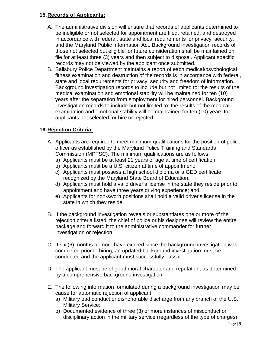## **15.Records of Applicants:**

- A. The administrative division will ensure that records of applicants determined to be ineligible or not selected for appointment are filed, retained, and destroyed in accordance with federal, state and local requirements for privacy, security, and the Maryland Public Information Act. Background investigation records of those not selected but eligible for future consideration shall be maintained on file for at least three (3) years and then subject to disposal. Applicant specific records may not be viewed by the applicant once submitted.
- B. Salisbury Police Department maintains a report of each medical/psychological fitness examination and destruction of the records is in accordance with federal, state and local requirements for privacy, security and freedom of information. Background investigation records to include but not limited to; the results of the medical examination and emotional stability will be maintained for ten (10) years after the separation from employment for hired personnel. Background investigation records to include but not limited to: the results of the medical examination and emotional stability will be maintained for ten (10) years for applicants not selected for hire or rejected.

# **16.Rejection Criteria:**

- A. Applicants are required to meet minimum qualifications for the position of police officer as established by the Maryland Police Training and Standards Commission (MPTSC). The minimum qualifications are as follows:
	- a) Applicants must be at least 21 years of age at time of certification;
	- b) Applicants must be a U.S. citizen at time of appointment;
	- c) Applicants must possess a high school diploma or a GED certificate recognized by the Maryland State Board of Education;
	- d) Applicants must hold a valid driver's license in the state they reside prior to appointment and have three years driving experience; and
	- e) Applicants for non-sworn positions shall hold a valid driver's license in the state in which they reside.
- B. If the background investigation reveals or substantiates one or more of the rejection criteria listed, the chief of police or his designee will review the entire package and forward it to the administrative commander for further investigation or rejection.
- C. If six (6) months or more have expired since the background investigation was completed prior to hiring, an updated background investigation must be conducted and the applicant must successfully pass it.
- D. The applicant must be of good moral character and reputation, as determined by a comprehensive background investigation.
- E. The following information formulated during a background investigation may be cause for automatic rejection of applicant:
	- a) Military bad conduct or dishonorable discharge from any branch of the U.S. Military Service;
	- b) Documented evidence of three (3) or more instances of misconduct or disciplinary action in the military service (regardless of the type of charges);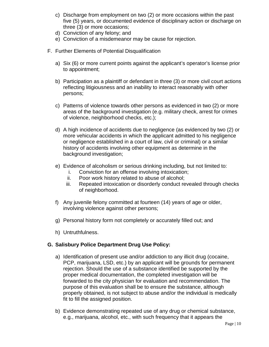- c) Discharge from employment on two (2) or more occasions within the past five (5) years, or documented evidence of disciplinary action or discharge on three (3) or more occasions;
- d) Conviction of any felony; and
- e) Conviction of a misdemeanor may be cause for rejection.
- F. Further Elements of Potential Disqualification
	- a) Six (6) or more current points against the applicant's operator's license prior to appointment;
	- b) Participation as a plaintiff or defendant in three (3) or more civil court actions reflecting litigiousness and an inability to interact reasonably with other persons;
	- c) Patterns of violence towards other persons as evidenced in two (2) or more areas of the background investigation (e.g. military check, arrest for crimes of violence, neighborhood checks, etc.);
	- d) A high incidence of accidents due to negligence (as evidenced by two (2) or more vehicular accidents in which the applicant admitted to his negligence or negligence established in a court of law, civil or criminal) or a similar history of accidents involving other equipment as determine in the background investigation;
	- e) Evidence of alcoholism or serious drinking including, but not limited to:
		- i. Conviction for an offense involving intoxication;
		- ii. Poor work history related to abuse of alcohol;
		- iii. Repeated intoxication or disorderly conduct revealed through checks of neighborhood.
	- f) Any juvenile felony committed at fourteen (14) years of age or older, involving violence against other persons;
	- g) Personal history form not completely or accurately filled out; and
	- h) Untruthfulness.

# **G. Salisbury Police Department Drug Use Policy:**

- a) Identification of present use and/or addiction to any illicit drug (cocaine, PCP, marijuana, LSD, etc.) by an applicant will be grounds for permanent rejection. Should the use of a substance identified be supported by the proper medical documentation, the completed investigation will be forwarded to the city physician for evaluation and recommendation. The purpose of this evaluation shall be to ensure the substance, although properly obtained, is not subject to abuse and/or the individual is medically fit to fill the assigned position.
- b) Evidence demonstrating repeated use of any drug or chemical substance, e.g., marijuana, alcohol, etc., with such frequency that it appears the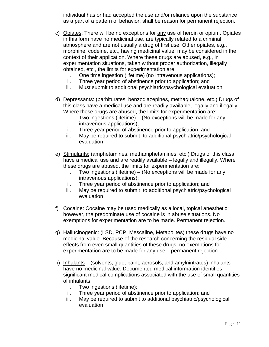individual has or had accepted the use and/or reliance upon the substance as a part of a pattern of behavior, shall be reason for permanent rejection.

- c) Opiates: There will be no exceptions for any use of heroin or opium. Opiates in this form have no medicinal use, are typically related to a criminal atmosphere and are not usually a drug of first use. Other opiates, e.g., morphine, codeine, etc., having medicinal value, may be considered in the context of their application. Where these drugs are abused, e.g., in experimentation situations, taken without proper authorization, illegally obtained, etc., the limits for experimentation are:
	- i. One time ingestion (lifetime) (no intravenous applications);
	- ii. Three year period of abstinence prior to application; and
	- iii. Must submit to additional psychiatric/psychological evaluation
- d) Depressants: (barbiturates, benzodiazepines, methaqualone, etc.) Drugs of this class have a medical use and are readily available, legally and illegally. Where these drugs are abused, the limits for experimentation are:
	- i. Two ingestions (lifetime) (No exceptions will be made for any intravenous applications);
	- ii. Three year period of abstinence prior to application; and
	- iii. May be required to submit to additional psychiatric/psychological evaluation
- e) Stimulants: (amphetamines, methamphetamines, etc.) Drugs of this class have a medical use and are readily available – legally and illegally. Where these drugs are abused, the limits for experimentation are:
	- i. Two ingestions (lifetime) (No exceptions will be made for any intravenous applications);
	- ii. Three year period of abstinence prior to application; and
	- iii. May be required to submit to additional psychiatric/psychological evaluation
- f) Cocaine: Cocaine may be used medically as a local, topical anesthetic; however, the predominate use of cocaine is in abuse situations. No exemptions for experimentation are to be made. Permanent rejection.
- g) Hallucinogenic: (LSD, PCP, Mescaline, Metabolites) these drugs have no medicinal value. Because of the research concerning the residual side effects from even small quantities of these drugs, no exemptions for experimentation are to be made for any use – permanent rejection.
- h) Inhalants (solvents, glue, paint, aerosols, and amylnintrates) inhalants have no medicinal value. Documented medical information identifies significant medical complications associated with the use of small quantities of inhalants.
	- i. Two ingestions (lifetime);
	- ii. Three year period of abstinence prior to application; and
	- iii. May be required to submit to additional psychiatric/psychological evaluation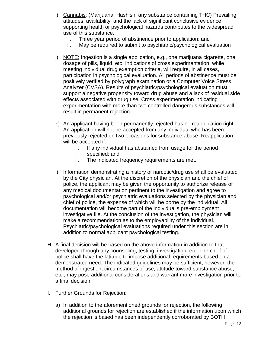- i) Cannabis: (Marijuana, Hashish, any substance containing THC) Prevailing attitudes, availability, and the lack of significant conclusive evidence supporting health or psychological hazards contributes to the widespread use of this substance.
	- i. Three year period of abstinence prior to application; and
	- ii. May be required to submit to psychiatric/psychological evaluation
- j) NOTE: Ingestion is a single application, e.g., one marijuana cigarette, one dosage of pills, liquid, etc. Indications of cross experimentation, while meeting individual drug exemption criteria, will require, in all cases, participation in psychological evaluation. All periods of abstinence must be positively verified by polygraph examination or a Computer Voice Stress Analyzer (CVSA). Results of psychiatric/psychological evaluation must support a negative propensity toward drug abuse and a lack of residual side effects associated with drug use. Cross experimentation indicating experimentation with more than two controlled dangerous substances will result in permanent rejection.
- k) An applicant having been permanently rejected has no reapplication right. An application will not be accepted from any individual who has been previously rejected on two occasions for substance abuse. Reapplication will be accepted if:
	- i. If any individual has abstained from usage for the period specified; and
	- ii. The indicated frequency requirements are met.
- l) Information demonstrating a history of narcotic/drug use shall be evaluated by the City physician. At the discretion of the physician and the chief of police, the applicant may be given the opportunity to authorize release of any medical documentation pertinent to the investigation and agree to psychological and/or psychiatric evaluations selected by the physician and chief of police, the expense of which will be borne by the individual. All documentation will become part of the individual's pre-employment investigative file. At the conclusion of the investigation, the physician will make a recommendation as to the employability of the individual. Psychiatric/psychological evaluations required under this section are in addition to normal applicant psychological testing.
- H. A final decision will be based on the above information in addition to that developed through any counseling, testing, investigation, etc. The chief of police shall have the latitude to impose additional requirements based on a demonstrated need. The indicated guidelines may be sufficient; however, the method of ingestion, circumstances of use, attitude toward substance abuse, etc., may pose additional considerations and warrant more investigation prior to a final decision.
- I. Further Grounds for Rejection:
	- a) In addition to the aforementioned grounds for rejection, the following additional grounds for rejection are established if the information upon which the rejection is based has been independently corroborated by BOTH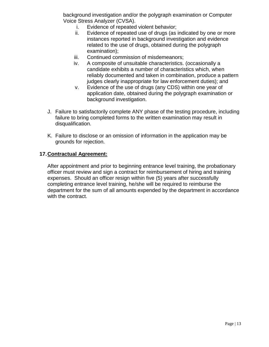background investigation and/or the polygraph examination or Computer Voice Stress Analyzer (CVSA).

- i. Evidence of repeated violent behavior;
- ii. Evidence of repeated use of drugs (as indicated by one or more instances reported in background investigation and evidence related to the use of drugs, obtained during the polygraph examination);
- iii. Continued commission of misdemeanors;
- iv. A composite of unsuitable characteristics. (occasionally a candidate exhibits a number of characteristics which, when reliably documented and taken in combination, produce a pattern judges clearly inappropriate for law enforcement duties); and
- v. Evidence of the use of drugs (any CDS) within one year of application date, obtained during the polygraph examination or background investigation.
- J. Failure to satisfactorily complete ANY phase of the testing procedure, including failure to bring completed forms to the written examination may result in disqualification.
- K. Failure to disclose or an omission of information in the application may be grounds for rejection.

#### **17.Contractual Agreement:**

After appointment and prior to beginning entrance level training, the probationary officer must review and sign a contract for reimbursement of hiring and training expenses. Should an officer resign within five (5) years after successfully completing entrance level training, he/she will be required to reimburse the department for the sum of all amounts expended by the department in accordance with the contract.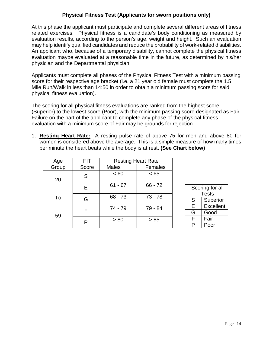# **Physical Fitness Test (Applicants for sworn positions only)**

At this phase the applicant must participate and complete several different areas of fitness related exercises. Physical fitness is a candidate's body conditioning as measured by evaluation results, according to the person's age, weight and height. Such an evaluation may help identify qualified candidates and reduce the probability of work-related disabilities. An applicant who, because of a temporary disability, cannot complete the physical fitness evaluation maybe evaluated at a reasonable time in the future, as determined by his/her physician and the Departmental physician.

Applicants must complete all phases of the Physical Fitness Test with a minimum passing score for their respective age bracket (i.e. a 21 year old female must complete the 1.5 Mile Run/Walk in less than 14:50 in order to obtain a minimum passing score for said physical fitness evaluation).

The scoring for all physical fitness evaluations are ranked from the highest score (Superior) to the lowest score (Poor), with the minimum passing score designated as Fair. Failure on the part of the applicant to complete any phase of the physical fitness evaluation with a minimum score of Fair may be grounds for rejection.

1. **Resting Heart Rate:** A resting pulse rate of above 75 for men and above 80 for women is considered above the average. This is a simple measure of how many times per minute the heart beats while the body is at rest. **(See Chart below)**

| Age   | <b>FIT</b> | <b>Resting Heart Rate</b> |           |
|-------|------------|---------------------------|-----------|
| Group | Score      | <b>Males</b>              | Females   |
| 20    | S          | < 60                      | < 65      |
|       | Е          | $61 - 67$                 | $66 - 72$ |
| To    | G          | $68 - 73$                 | $73 - 78$ |
| 59    | F          | 74 - 79                   | 79 - 84   |
|       | P          | > 80                      | > 85      |

| Scoring for all       |       |  |
|-----------------------|-------|--|
|                       | Tests |  |
| Superior<br>S         |       |  |
| <b>Excellent</b><br>E |       |  |
| Good<br>G             |       |  |
| F<br>Fair             |       |  |
| ٥                     | Poor  |  |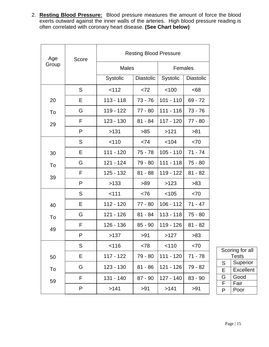2. **Resting Blood Pressure:** Blood pressure measures the amount of force the blood exerts outward against the inner walls of the arteries. High blood pressure reading is often correlated with coronary heart disease. **(See Chart below)**

| Age   | Score | <b>Resting Blood Pressure</b> |           |             |           |
|-------|-------|-------------------------------|-----------|-------------|-----------|
| Group |       | <b>Males</b>                  |           | Females     |           |
|       |       | Systolic                      | Diastolic | Systolic    | Diastolic |
|       | S     | < 112                         | < 72      | < 100       | <68       |
| 20    | Е     | $113 - 118$                   | $73 - 76$ | $101 - 110$ | $69 - 72$ |
| To    | G     | 119 - 122                     | 77 - 80   | $111 - 116$ | $73 - 76$ |
| 29    | F     | $123 - 130$                   | $81 - 84$ | $117 - 120$ | $77 - 80$ |
|       | P     | >131                          | $>85$     | >121        | >81       |
|       | S     | < 110                         | < 74      | < 104       | < 70      |
| 30    | Е     | $111 - 120$                   | $75 - 78$ | $105 - 110$ | $71 - 74$ |
| To    | G     | 121 - 124                     | 79 - 80   | $111 - 118$ | $75 - 80$ |
| 39    | F     | $125 - 132$                   | $81 - 88$ | $119 - 122$ | $81 - 82$ |
|       | P     | >133                          | >89       | >123        | >83       |
|       | S     | < 111                         | < 76      | < 105       | < 70      |
| 40    | Е     | $112 - 120$                   | $77 - 80$ | $106 - 112$ | $71 - 47$ |
| To    | G     | 121 - 126                     | $81 - 84$ | $113 - 118$ | $75 - 80$ |
| 49    | F     | 126 - 136                     | $85 - 90$ | 119 - 126   | $81 - 82$ |
|       | P     | >137                          | >91       | >127        | $>83$     |
|       | S     | < 116                         | < 78      | 110         | < 70      |
| 50    | Ε     | 117 - 122                     | 79 - 80   | $111 - 120$ | $71 - 78$ |
| To    | G     | 123 - 130                     | $81 - 86$ | 121 - 126   | 79 - 82   |
| 59    | F     | 131 - 140                     | $87 - 90$ | $127 - 140$ | 83 - 90   |
|       | P     | >141                          | >91       | >141        | >91       |

| Scoring for all       |       |  |  |
|-----------------------|-------|--|--|
|                       | Tests |  |  |
| Superior<br>S         |       |  |  |
| <b>Excellent</b><br>E |       |  |  |
| Good<br>G             |       |  |  |
| F                     | Fair  |  |  |
| D                     | Poor  |  |  |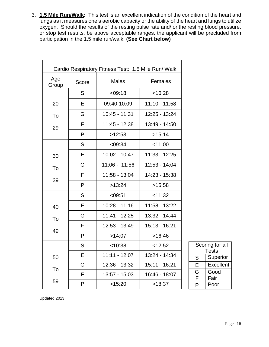3. **1.5 Mile Run/Walk:** This test is an excellent indication of the condition of the heart and lungs as it measures one's aerobic capacity or the ability of the heart and lungs to utilize oxygen. Should the results of the resting pulse rate and/ or the resting blood pressure, or stop test results, be above acceptable ranges, the applicant will be precluded from participation in the 1.5 mile run/walk. **(See Chart below)**

| Cardio Respiratory Fitness Test: 1.5 Mile Run/ Walk |       |                 |                 |  |
|-----------------------------------------------------|-------|-----------------|-----------------|--|
| Age<br>Group                                        | Score | <b>Males</b>    | Females         |  |
|                                                     | S     | < 09:18         | < 10:28         |  |
| 20                                                  | E     | 09:40-10:09     | $11:10 - 11:58$ |  |
| To                                                  | G     | 10:45 - 11:31   | 12:25 - 13:24   |  |
| 29                                                  | F     | 11:45 - 12:38   | 13:49 - 14:50   |  |
|                                                     | P     | >12:53          | >15:14          |  |
|                                                     | S     | < 09:34         | < 11:00         |  |
| 30                                                  | E     | $10:02 - 10:47$ | $11:33 - 12:25$ |  |
| To                                                  | G     | 11:06 - 11:56   | 12:53 - 14:04   |  |
|                                                     | F     | 11:58 - 13:04   | 14:23 - 15:38   |  |
| 39                                                  | P     | >13:24          | >15:58          |  |
|                                                     | S     | < 09:51         | < 11:32         |  |
| 40                                                  | E     | 10:28 - 11:16   | 11:58 - 13:22   |  |
| To                                                  | G     | $11:41 - 12:25$ | 13:32 - 14:44   |  |
|                                                     | F     | 12:53 - 13:49   | 15:13 - 16:21   |  |
| 49                                                  | P     | >14:07          | >16:46          |  |
|                                                     | S     | < 10:38         | < 12:52         |  |
| 50                                                  | E     | $11:11 - 12:07$ | 13:24 - 14:34   |  |
| To                                                  | G     | 12:36 - 13:32   | 15:11 - 16:21   |  |
|                                                     | F     | 13:57 - 15:03   | 16:46 - 18:07   |  |
| 59                                                  | P     | >15:20          | >18:37          |  |

| Scoring for all |       |  |
|-----------------|-------|--|
|                 | Tests |  |
| Superior<br>S   |       |  |
| Excellent<br>E  |       |  |
| Good<br>G       |       |  |
| Fair<br>F       |       |  |
|                 | Poor  |  |

Updated 2013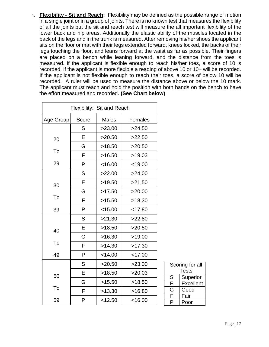4. **Flexibility - Sit and Reach:** Flexibility may be defined as the possible range of motion in a single joint or in a group of joints. There is no known test that measures the flexibility of all the joints but the sit and reach test will measure the all important flexibility of the lower back and hip areas. Additionally the elastic ability of the muscles located in the back of the legs and in the trunk is measured. After removing his/her shoes the applicant sits on the floor or mat with their legs extended forward, knees locked, the backs of their legs touching the floor, and leans forward at the waist as far as possible. Their fingers are placed on a bench while leaning forward, and the distance from the toes is measured. If the applicant is flexible enough to reach his/her toes, a score of 10 is recorded. If the applicant is more flexible a reading of above 10 or 10+ will be recorded. If the applicant is not flexible enough to reach their toes, a score of below 10 will be recorded. A ruler will be used to measure the distance above or below the 10 mark. The applicant must reach and hold the position with both hands on the bench to have the effort measured and recorded. **(See Chart below)**

| Flexibility: Sit and Reach |       |              |           |  |
|----------------------------|-------|--------------|-----------|--|
| Age Group                  | Score | <b>Males</b> | Females   |  |
|                            | S     | >23.00       | >24.50    |  |
| 20                         | Е     | >20.50       | >22.50    |  |
|                            | G     | >18.50       | >20.50    |  |
| To                         | F     | >16.50       | >19.03    |  |
| 29                         | P     | < 16.00      | $<$ 19.00 |  |
|                            | S     | >22.00       | >24.00    |  |
| 30                         | E     | >19.50       | >21.50    |  |
|                            | G     | >17.50       | >20.00    |  |
| To                         | F     | >15.50       | >18.30    |  |
| 39                         | P     | $<$ 15.00    | < 17.80   |  |
|                            | S     | >21.30       | >22.80    |  |
| 40                         | Е     | >18.50       | >20.50    |  |
|                            | G     | >16.30       | >19.00    |  |
| To                         | F     | >14.30       | >17.30    |  |
| 49                         | P     | < 14.00      | $<$ 17.00 |  |
|                            | S     | >20.50       | >23.00    |  |
| 50                         | E     | >18.50       | >20.03    |  |
|                            | G     | >15.50       | >18.50    |  |
| To                         | F     | >13.30       | >16.80    |  |
| 59                         | P     | < 12.50      | $<$ 16.00 |  |

| Scoring for all       |       |  |
|-----------------------|-------|--|
|                       | Tests |  |
| S<br>Superior         |       |  |
| E<br><b>Excellent</b> |       |  |
| Good<br>G             |       |  |
| F<br>Fair             |       |  |
|                       | Poor  |  |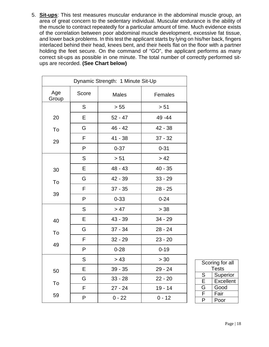5. **Sit-ups**: This test measures muscular endurance in the abdominal muscle group, an area of great concern to the sedentary individual. Muscular endurance is the ability of the muscle to contract repeatedly for a particular amount of time. Much evidence exists of the correlation between poor abdominal muscle development, excessive fat tissue, and lower back problems. In this test the applicant starts by lying on his/her back, fingers interlaced behind their head, knees bent, and their heels flat on the floor with a partner holding the feet secure. On the command of "GO", the applicant performs as many correct sit-ups as possible in one minute. The total number of correctly performed situps are recorded. **(See Chart below)**

| Dynamic Strength: 1 Minute Sit-Up |              |              |           |  |
|-----------------------------------|--------------|--------------|-----------|--|
| Age<br>Group                      | Score        | <b>Males</b> | Females   |  |
|                                   | S            | > 55         | > 51      |  |
| 20                                | E            | $52 - 47$    | 49 - 44   |  |
| To                                | G            | $46 - 42$    | $42 - 38$ |  |
| 29                                | F            | $41 - 38$    | $37 - 32$ |  |
|                                   | $\mathsf{P}$ | $0 - 37$     | $0 - 31$  |  |
|                                   | S            | > 51         | > 42      |  |
| 30                                | E            | $48 - 43$    | $40 - 35$ |  |
| To                                | G            | 42 - 39      | $33 - 29$ |  |
|                                   | F            | $37 - 35$    | $28 - 25$ |  |
| 39                                | P            | $0 - 33$     | $0 - 24$  |  |
|                                   | S            | > 47         | > 38      |  |
| 40                                | Е            | 43 - 39      | $34 - 29$ |  |
| To                                | G            | $37 - 34$    | $28 - 24$ |  |
|                                   | F            | $32 - 29$    | $23 - 20$ |  |
| 49                                | P            | $0 - 28$     | $0 - 19$  |  |
|                                   | S            | > 43         | > 30      |  |
| 50                                | E            | $39 - 35$    | $29 - 24$ |  |
| To                                | G            | $33 - 28$    | $22 - 20$ |  |
|                                   | F            | $27 - 24$    | $19 - 14$ |  |
| 59                                | P            | $0 - 22$     | $0 - 12$  |  |

| Scoring for all<br>Tests |          |  |  |
|--------------------------|----------|--|--|
| S                        | Superior |  |  |
| <b>Excellent</b><br>E    |          |  |  |
| G<br>Good                |          |  |  |
| F<br>Fair                |          |  |  |
|                          | Poor     |  |  |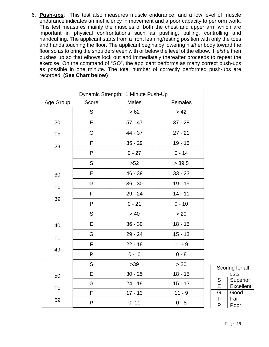6. **Push-ups**: This test also measures muscle endurance, and a low level of muscle endurance indicates an inefficiency in movement and a poor capacity to perform work. This test measures mainly the muscles of both the chest and upper arm which are important in physical confrontations such as pushing, pulling, controlling and handcuffing. The applicant starts from a front leaning/resting position with only the toes and hands touching the floor. The applicant begins by lowering his/her body toward the floor so as to bring the shoulders even with or below the level of the elbow. He/she then pushes up so that elbows lock out and immediately thereafter proceeds to repeat the exercise. On the command of "GO", the applicant performs as many correct push-ups as possible in one minute. The total number of correctly performed push-ups are recorded. **(See Chart below)**

| Dynamic Strength: 1 Minute Push-Up |       |              |           |  |
|------------------------------------|-------|--------------|-----------|--|
| Age Group                          | Score | <b>Males</b> | Females   |  |
|                                    | S     | > 62         | > 42      |  |
| 20                                 | E     | $57 - 47$    | $37 - 28$ |  |
| To                                 | G     | 44 - 37      | $27 - 21$ |  |
| 29                                 | F     | $35 - 29$    | $19 - 15$ |  |
|                                    | P     | $0 - 27$     | $0 - 14$  |  |
|                                    | S     | $>52$        | > 39.5    |  |
| 30                                 | E     | 46 - 39      | $33 - 23$ |  |
| To                                 | G     | $36 - 30$    | $19 - 15$ |  |
|                                    | F     | 29 - 24      | $14 - 11$ |  |
| 39                                 | P     | $0 - 21$     | $0 - 10$  |  |
|                                    | S     | $>40$        | $>20$     |  |
| 40                                 | E     | $36 - 30$    | $18 - 15$ |  |
| To                                 | G     | $29 - 24$    | $15 - 13$ |  |
|                                    | F     | $22 - 18$    | $11 - 9$  |  |
| 49                                 | P     | $0 - 16$     | $0 - 8$   |  |
|                                    | S     | $>39$        | > 20      |  |
| 50                                 | E     | $30 - 25$    | $18 - 15$ |  |
| To                                 | G     | $24 - 19$    | $15 - 13$ |  |
|                                    | F     | $17 - 13$    | $11 - 9$  |  |
| 59                                 | P     | $0 - 11$     | $0 - 8$   |  |

| Scoring for all<br>Tests |                  |  |
|--------------------------|------------------|--|
| S                        | Superior         |  |
| Е                        | <b>Excellent</b> |  |
| G                        | Good             |  |
| F                        | Fair             |  |
| P                        | Poor             |  |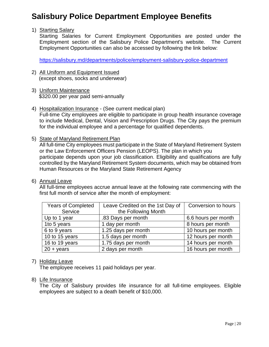# **Salisbury Police Department Employee Benefits**

#### 1) Starting Salary

Starting Salaries for Current Employment Opportunities are posted under the Employment section of the Salisbury Police Department's website. The Current Employment Opportunities can also be accessed by following the link below:

<https://salisbury.md/departments/police/employment-salisbury-police-department>

- 2) All Uniform and Equipment Issued (except shoes, socks and underwear)
- 3) Uniform Maintenance \$320.00 per year paid semi-annually
- 4) Hospitalization Insurance (See current medical plan) Full-time City employees are eligible to participate in group health insurance coverage to include Medical, Dental, Vision and Prescription Drugs. The City pays the premium for the individual employee and a percentage for qualified dependents.
- 5) State of Maryland Retirement Plan

All full-time City employees must participate in the State of Maryland Retirement System or the Law Enforcement Officers Pension (LEOPS). The plan in which you participate depends upon your job classification. Eligibility and qualifications are fully controlled by the Maryland Retirement System documents, which may be obtained from Human Resources or the Maryland State Retirement Agency

6) Annual Leave

All full-time employees accrue annual leave at the following rate commencing with the first full month of service after the month of employment:

| <b>Years of Completed</b> | Leave Credited on the 1st Day of | Conversion to hours |
|---------------------------|----------------------------------|---------------------|
| Service                   | the Following Month              |                     |
| Up to 1 year              | .83 Days per month               | 6.6 hours per month |
| 1to 5 years               | 1 day per month                  | 8 hours per month   |
| 6 to 9 years              | 1.25 days per month              | 10 hours per month  |
| 10 to 15 years            | 1.5 days per month               | 12 hours per month  |
| 16 to 19 years            | 1.75 days per month              | 14 hours per month  |
| $20 + \text{years}$       | 2 days per month                 | 16 hours per month  |

#### 7) Holiday Leave

The employee receives 11 paid holidays per year.

## 8) Life Insurance

The City of Salisbury provides Iife insurance for all full-time employees. Eligible employees are subject to a death benefit of \$10,000.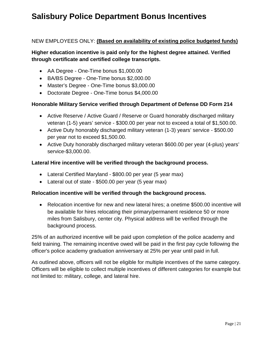# **Salisbury Police Department Bonus Incentives**

# NEW EMPLOYEES ONLY: **(Based on availability of existing police budgeted funds)**

# **Higher education incentive is paid only for the highest degree attained. Verified through certificate and certified college transcripts.**

- AA Degree One-Time bonus \$1,000.00
- BA/BS Degree One-Time bonus \$2,000.00
- Master's Degree One-Time bonus \$3,000.00
- Doctorate Degree One-Time bonus \$4,000.00

## **Honorable Military Service verified through Department of Defense DD Form 214**

- Active Reserve / Active Guard / Reserve or Guard honorably discharged military veteran (1-5) years' service - \$300.00 per year not to exceed a total of \$1,500.00.
- Active Duty honorably discharged military veteran (1-3) years' service \$500.00 per year not to exceed \$1,500.00.
- Active Duty honorably discharged military veteran \$600.00 per year (4-plus) years' service-\$3,000.00.

#### **Lateral Hire incentive will be verified through the background process.**

- Lateral Certified Maryland \$800.00 per year (5 year max)
- Lateral out of state \$500.00 per year (5 year max)

#### **Relocation incentive will be verified through the background process.**

• Relocation incentive for new and new lateral hires; a onetime \$500.00 incentive will be available for hires relocating their primary/permanent residence 50 or more miles from Salisbury, center city. Physical address will be verified through the background process.

25% of an authorized incentive will be paid upon completion of the police academy and field training. The remaining incentive owed will be paid in the first pay cycle following the officer's police academy graduation anniversary at 25% per year until paid in full.

As outlined above, officers will not be eligible for multiple incentives of the same category. Officers will be eligible to collect multiple incentives of different categories for example but not limited to: military, college, and lateral hire.